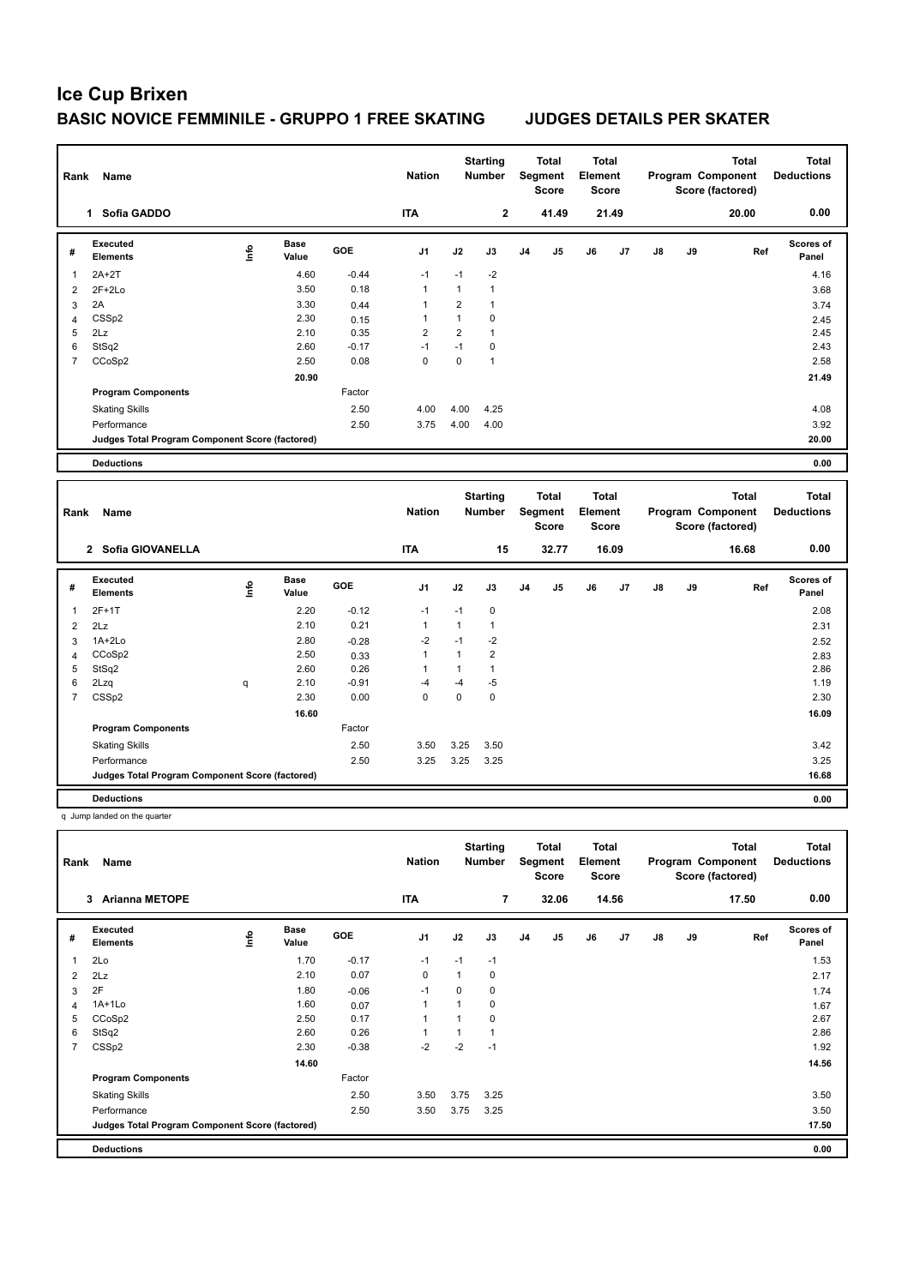| Rank                    | Name                                            |      |                      |            | <b>Nation</b> |                | <b>Starting</b><br><b>Number</b> |    | <b>Total</b><br>Segment<br><b>Score</b> | <b>Total</b><br>Element<br>Score |       |    |    | <b>Total</b><br>Program Component<br>Score (factored) | <b>Total</b><br><b>Deductions</b> |
|-------------------------|-------------------------------------------------|------|----------------------|------------|---------------|----------------|----------------------------------|----|-----------------------------------------|----------------------------------|-------|----|----|-------------------------------------------------------|-----------------------------------|
|                         | 1 Sofia GADDO                                   |      |                      |            | <b>ITA</b>    |                | $\overline{\mathbf{2}}$          |    | 41.49                                   |                                  | 21.49 |    |    | 20.00                                                 | 0.00                              |
| #                       | <b>Executed</b><br><b>Elements</b>              | e    | <b>Base</b><br>Value | <b>GOE</b> | J1            | J2             | J3                               | J4 | J <sub>5</sub>                          | J6                               | J7    | J8 | J9 | Ref                                                   | <b>Scores of</b><br>Panel         |
| 1                       | 2A+2T                                           |      | 4.60                 | $-0.44$    | $-1$          | $-1$           | $-2$                             |    |                                         |                                  |       |    |    |                                                       | 4.16                              |
| 2                       | $2F+2Lo$                                        |      | 3.50                 | 0.18       | 1             | 1              | $\mathbf{1}$                     |    |                                         |                                  |       |    |    |                                                       | 3.68                              |
| 3                       | 2A                                              |      | 3.30                 | 0.44       | 1             | $\overline{2}$ | $\mathbf{1}$                     |    |                                         |                                  |       |    |    |                                                       | 3.74                              |
| $\overline{4}$          | CSSp2                                           |      | 2.30                 | 0.15       | 1             | $\mathbf{1}$   | $\mathbf 0$                      |    |                                         |                                  |       |    |    |                                                       | 2.45                              |
| 5                       | 2Lz                                             |      | 2.10                 | 0.35       | 2             | $\overline{2}$ | $\mathbf{1}$                     |    |                                         |                                  |       |    |    |                                                       | 2.45                              |
| 6                       | StSq2                                           |      | 2.60                 | $-0.17$    | $-1$          | $-1$           | $\mathbf 0$                      |    |                                         |                                  |       |    |    |                                                       | 2.43                              |
| $\overline{7}$          | CCoSp2                                          |      | 2.50                 | 0.08       | 0             | 0              | $\mathbf{1}$                     |    |                                         |                                  |       |    |    |                                                       | 2.58                              |
|                         |                                                 |      | 20.90                |            |               |                |                                  |    |                                         |                                  |       |    |    |                                                       | 21.49                             |
|                         | <b>Program Components</b>                       |      |                      | Factor     |               |                |                                  |    |                                         |                                  |       |    |    |                                                       |                                   |
|                         | <b>Skating Skills</b>                           |      |                      | 2.50       | 4.00          | 4.00           | 4.25                             |    |                                         |                                  |       |    |    |                                                       | 4.08                              |
|                         | Performance                                     |      |                      | 2.50       | 3.75          | 4.00           | 4.00                             |    |                                         |                                  |       |    |    |                                                       | 3.92                              |
|                         | Judges Total Program Component Score (factored) |      |                      |            |               |                |                                  |    |                                         |                                  |       |    |    |                                                       | 20.00                             |
|                         | <b>Deductions</b>                               |      |                      |            |               |                |                                  |    |                                         |                                  |       |    |    |                                                       | 0.00                              |
|                         |                                                 |      |                      |            |               |                |                                  |    |                                         |                                  |       |    |    |                                                       |                                   |
|                         |                                                 |      |                      |            |               |                |                                  |    |                                         |                                  |       |    |    |                                                       |                                   |
| Rank                    | Name                                            |      |                      |            | <b>Nation</b> |                | <b>Starting</b><br><b>Number</b> |    | <b>Total</b><br>Segment<br><b>Score</b> | <b>Total</b><br>Element<br>Score |       |    |    | <b>Total</b><br>Program Component<br>Score (factored) | <b>Total</b><br><b>Deductions</b> |
|                         | 2 Sofia GIOVANELLA                              |      |                      |            | <b>ITA</b>    |                | 15                               |    | 32.77                                   |                                  | 16.09 |    |    | 16.68                                                 | 0.00                              |
| #                       | <b>Executed</b><br><b>Elements</b>              | lnfo | <b>Base</b><br>Value | <b>GOE</b> | J1            | J2             | J3                               | J4 | J <sub>5</sub>                          | J6                               | J7    | J8 | J9 | Ref                                                   | Scores of<br>Panel                |
| 1                       | $2F+1T$                                         |      | 2.20                 | $-0.12$    | $-1$          | $-1$           | $\mathbf 0$                      |    |                                         |                                  |       |    |    |                                                       | 2.08                              |
| $\overline{2}$          | 2Lz                                             |      | 2.10                 | 0.21       | 1             | $\mathbf{1}$   | $\mathbf{1}$                     |    |                                         |                                  |       |    |    |                                                       | 2.31                              |
| 3                       | $1A+2Lo$                                        |      | 2.80                 | $-0.28$    | $-2$          | $-1$           | $-2$                             |    |                                         |                                  |       |    |    |                                                       | 2.52                              |
| $\overline{\mathbf{4}}$ | CCoSp2                                          |      | 2.50                 | 0.33       | 1             | $\mathbf{1}$   | $\overline{2}$                   |    |                                         |                                  |       |    |    |                                                       | 2.83                              |
| 5                       | StSq2                                           |      | 2.60                 | 0.26       | 1             | $\mathbf{1}$   | $\mathbf{1}$                     |    |                                         |                                  |       |    |    |                                                       | 2.86                              |
| 6                       | 2Lzq                                            | q    | 2.10                 | $-0.91$    | $-4$          | $-4$           | $-5$                             |    |                                         |                                  |       |    |    |                                                       | 1.19                              |
| $\overline{7}$          | CSS <sub>p2</sub>                               |      | 2.30                 | 0.00       | 0             | 0              | $\mathbf 0$                      |    |                                         |                                  |       |    |    |                                                       | 2.30                              |
|                         |                                                 |      | 16.60                |            |               |                |                                  |    |                                         |                                  |       |    |    |                                                       | 16.09                             |
|                         | <b>Program Components</b>                       |      |                      | Factor     |               |                |                                  |    |                                         |                                  |       |    |    |                                                       |                                   |
|                         | <b>Skating Skills</b>                           |      |                      | 2.50       | 3.50          | 3.25           | 3.50                             |    |                                         |                                  |       |    |    |                                                       | 3.42                              |
|                         | Performance                                     |      |                      | 2.50       | 3.25          | 3.25           | 3.25                             |    |                                         |                                  |       |    |    |                                                       | 3.25                              |
|                         | Judges Total Program Component Score (factored) |      |                      |            |               |                |                                  |    |                                         |                                  |       |    |    |                                                       | 16.68                             |

q Jump landed on the quarter

| Rank           | <b>Name</b>                                     |      |                      |         | <b>Nation</b>  |      | <b>Starting</b><br><b>Number</b> |    | Total<br>Segment<br><b>Score</b> | <b>Total</b><br>Element<br><b>Score</b> |       |               |    | <b>Total</b><br>Program Component<br>Score (factored) | <b>Total</b><br><b>Deductions</b> |
|----------------|-------------------------------------------------|------|----------------------|---------|----------------|------|----------------------------------|----|----------------------------------|-----------------------------------------|-------|---------------|----|-------------------------------------------------------|-----------------------------------|
|                | <b>Arianna METOPE</b><br>3                      |      |                      |         | <b>ITA</b>     |      | $\overline{7}$                   |    | 32.06                            |                                         | 14.56 |               |    | 17.50                                                 | 0.00                              |
| #              | Executed<br><b>Elements</b>                     | Info | <b>Base</b><br>Value | GOE     | J <sub>1</sub> | J2   | J3                               | J4 | J <sub>5</sub>                   | J6                                      | J7    | $\mathsf{J}8$ | J9 | Ref                                                   | Scores of<br>Panel                |
| $\mathbf{1}$   | 2Lo                                             |      | 1.70                 | $-0.17$ | $-1$           | $-1$ | $-1$                             |    |                                  |                                         |       |               |    |                                                       | 1.53                              |
| 2              | 2Lz                                             |      | 2.10                 | 0.07    | 0              |      | 0                                |    |                                  |                                         |       |               |    |                                                       | 2.17                              |
| 3              | 2F                                              |      | 1.80                 | $-0.06$ | $-1$           | 0    | 0                                |    |                                  |                                         |       |               |    |                                                       | 1.74                              |
| 4              | $1A+1Lo$                                        |      | 1.60                 | 0.07    | 1              |      | 0                                |    |                                  |                                         |       |               |    |                                                       | 1.67                              |
| 5              | CCoSp2                                          |      | 2.50                 | 0.17    | 1              |      | 0                                |    |                                  |                                         |       |               |    |                                                       | 2.67                              |
| 6              | StSq2                                           |      | 2.60                 | 0.26    |                |      | $\mathbf{1}$                     |    |                                  |                                         |       |               |    |                                                       | 2.86                              |
| $\overline{7}$ | CSSp2                                           |      | 2.30                 | $-0.38$ | $-2$           | $-2$ | $-1$                             |    |                                  |                                         |       |               |    |                                                       | 1.92                              |
|                |                                                 |      | 14.60                |         |                |      |                                  |    |                                  |                                         |       |               |    |                                                       | 14.56                             |
|                | <b>Program Components</b>                       |      |                      | Factor  |                |      |                                  |    |                                  |                                         |       |               |    |                                                       |                                   |
|                | <b>Skating Skills</b>                           |      |                      | 2.50    | 3.50           | 3.75 | 3.25                             |    |                                  |                                         |       |               |    |                                                       | 3.50                              |
|                | Performance                                     |      |                      | 2.50    | 3.50           | 3.75 | 3.25                             |    |                                  |                                         |       |               |    |                                                       | 3.50                              |
|                | Judges Total Program Component Score (factored) |      |                      |         |                |      |                                  |    |                                  |                                         |       |               |    |                                                       | 17.50                             |
|                | <b>Deductions</b>                               |      |                      |         |                |      |                                  |    |                                  |                                         |       |               |    |                                                       | 0.00                              |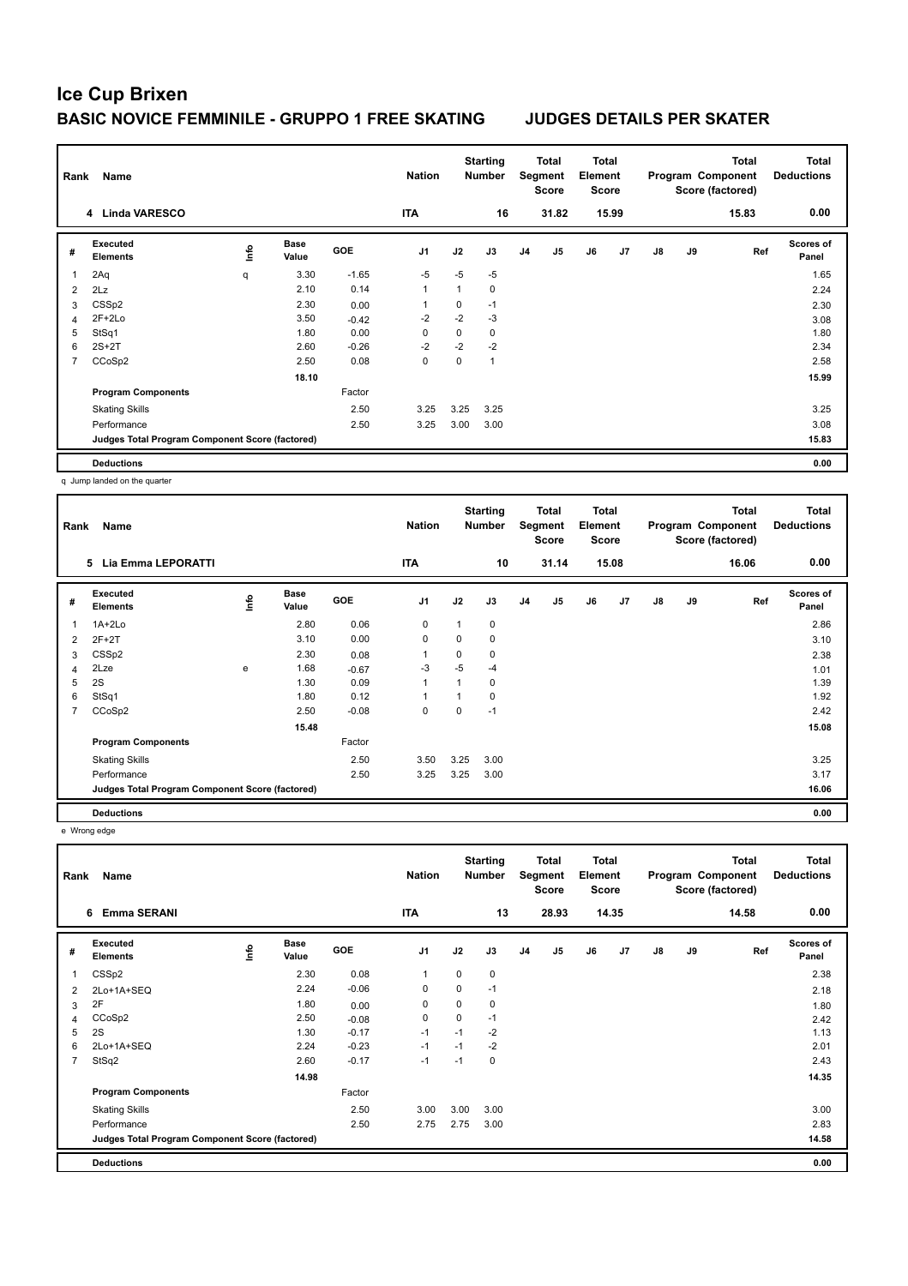| Rank           | Name                                            |    |                      |         | <b>Nation</b>  |      | <b>Starting</b><br><b>Number</b> |                | Total<br>Segment<br><b>Score</b> | <b>Total</b><br>Element<br><b>Score</b> |       |               |    | Total<br>Program Component<br>Score (factored) | <b>Total</b><br><b>Deductions</b> |
|----------------|-------------------------------------------------|----|----------------------|---------|----------------|------|----------------------------------|----------------|----------------------------------|-----------------------------------------|-------|---------------|----|------------------------------------------------|-----------------------------------|
|                | 4 Linda VARESCO                                 |    |                      |         | <b>ITA</b>     |      | 16                               |                | 31.82                            |                                         | 15.99 |               |    | 15.83                                          | 0.00                              |
| #              | Executed<br><b>Elements</b>                     | ۴ů | <b>Base</b><br>Value | GOE     | J <sub>1</sub> | J2   | J3                               | J <sub>4</sub> | J <sub>5</sub>                   | J6                                      | J7    | $\mathsf{J}8$ | J9 | Ref                                            | <b>Scores of</b><br>Panel         |
| $\overline{1}$ | 2Aq                                             | q  | 3.30                 | $-1.65$ | $-5$           | $-5$ | $-5$                             |                |                                  |                                         |       |               |    |                                                | 1.65                              |
| 2              | 2Lz                                             |    | 2.10                 | 0.14    | 1              | 1    | 0                                |                |                                  |                                         |       |               |    |                                                | 2.24                              |
| 3              | CSSp2                                           |    | 2.30                 | 0.00    | 1              | 0    | $-1$                             |                |                                  |                                         |       |               |    |                                                | 2.30                              |
| 4              | $2F+2Lo$                                        |    | 3.50                 | $-0.42$ | $-2$           | $-2$ | $-3$                             |                |                                  |                                         |       |               |    |                                                | 3.08                              |
| 5              | StSq1                                           |    | 1.80                 | 0.00    | 0              | 0    | $\mathbf 0$                      |                |                                  |                                         |       |               |    |                                                | 1.80                              |
| 6              | $2S+2T$                                         |    | 2.60                 | $-0.26$ | $-2$           | $-2$ | $-2$                             |                |                                  |                                         |       |               |    |                                                | 2.34                              |
| 7              | CCoSp2                                          |    | 2.50                 | 0.08    | 0              | 0    | 1                                |                |                                  |                                         |       |               |    |                                                | 2.58                              |
|                |                                                 |    | 18.10                |         |                |      |                                  |                |                                  |                                         |       |               |    |                                                | 15.99                             |
|                | <b>Program Components</b>                       |    |                      | Factor  |                |      |                                  |                |                                  |                                         |       |               |    |                                                |                                   |
|                | <b>Skating Skills</b>                           |    |                      | 2.50    | 3.25           | 3.25 | 3.25                             |                |                                  |                                         |       |               |    |                                                | 3.25                              |
|                | Performance                                     |    |                      | 2.50    | 3.25           | 3.00 | 3.00                             |                |                                  |                                         |       |               |    |                                                | 3.08                              |
|                | Judges Total Program Component Score (factored) |    |                      |         |                |      |                                  |                |                                  |                                         |       |               |    |                                                | 15.83                             |
|                | <b>Deductions</b>                               |    |                      |         |                |      |                                  |                |                                  |                                         |       |               |    |                                                | 0.00                              |

q Jump landed on the quarter

| Rank | Name                                            |                |                      |            | <b>Nation</b>  |          | <b>Starting</b><br><b>Number</b> |                | Total<br>Segment<br><b>Score</b> | <b>Total</b><br>Element<br><b>Score</b> |       |               |    | <b>Total</b><br>Program Component<br>Score (factored) | <b>Total</b><br><b>Deductions</b> |
|------|-------------------------------------------------|----------------|----------------------|------------|----------------|----------|----------------------------------|----------------|----------------------------------|-----------------------------------------|-------|---------------|----|-------------------------------------------------------|-----------------------------------|
|      | <b>Lia Emma LEPORATTI</b><br>5                  |                |                      |            | <b>ITA</b>     |          | 10                               |                | 31.14                            |                                         | 15.08 |               |    | 16.06                                                 | 0.00                              |
| #    | Executed<br><b>Elements</b>                     | $\frac{6}{10}$ | <b>Base</b><br>Value | <b>GOE</b> | J <sub>1</sub> | J2       | J3                               | J <sub>4</sub> | J <sub>5</sub>                   | J6                                      | J7    | $\mathsf{J}8$ | J9 | Ref                                                   | Scores of<br>Panel                |
| 1    | $1A+2Lo$                                        |                | 2.80                 | 0.06       | 0              |          | 0                                |                |                                  |                                         |       |               |    |                                                       | 2.86                              |
| 2    | $2F+2T$                                         |                | 3.10                 | 0.00       | $\mathbf 0$    | $\Omega$ | 0                                |                |                                  |                                         |       |               |    |                                                       | 3.10                              |
| 3    | CSSp2                                           |                | 2.30                 | 0.08       | $\mathbf{1}$   | 0        | 0                                |                |                                  |                                         |       |               |    |                                                       | 2.38                              |
| 4    | 2Lze                                            | e              | 1.68                 | $-0.67$    | -3             | $-5$     | $-4$                             |                |                                  |                                         |       |               |    |                                                       | 1.01                              |
| 5    | 2S                                              |                | 1.30                 | 0.09       | $\mathbf{1}$   |          | 0                                |                |                                  |                                         |       |               |    |                                                       | 1.39                              |
| 6    | StSq1                                           |                | 1.80                 | 0.12       | 1              |          | 0                                |                |                                  |                                         |       |               |    |                                                       | 1.92                              |
| 7    | CCoSp2                                          |                | 2.50                 | $-0.08$    | 0              | 0        | $-1$                             |                |                                  |                                         |       |               |    |                                                       | 2.42                              |
|      |                                                 |                | 15.48                |            |                |          |                                  |                |                                  |                                         |       |               |    |                                                       | 15.08                             |
|      | <b>Program Components</b>                       |                |                      | Factor     |                |          |                                  |                |                                  |                                         |       |               |    |                                                       |                                   |
|      | <b>Skating Skills</b>                           |                |                      | 2.50       | 3.50           | 3.25     | 3.00                             |                |                                  |                                         |       |               |    |                                                       | 3.25                              |
|      | Performance                                     |                |                      | 2.50       | 3.25           | 3.25     | 3.00                             |                |                                  |                                         |       |               |    |                                                       | 3.17                              |
|      | Judges Total Program Component Score (factored) |                |                      |            |                |          |                                  |                |                                  |                                         |       |               |    |                                                       | 16.06                             |
|      | <b>Deductions</b>                               |                |                      |            |                |          |                                  |                |                                  |                                         |       |               |    |                                                       | 0.00                              |

e Wrong edge

| Rank           | Name<br><b>Emma SERANI</b>                      |      |                      |            | <b>Nation</b>  |             | <b>Starting</b><br><b>Number</b> |                | Total<br>Segment<br><b>Score</b> | <b>Total</b><br>Element<br><b>Score</b> |       |               |    | <b>Total</b><br>Program Component<br>Score (factored) | <b>Total</b><br><b>Deductions</b> |
|----------------|-------------------------------------------------|------|----------------------|------------|----------------|-------------|----------------------------------|----------------|----------------------------------|-----------------------------------------|-------|---------------|----|-------------------------------------------------------|-----------------------------------|
|                | 6                                               |      |                      |            | <b>ITA</b>     |             | 13                               |                | 28.93                            |                                         | 14.35 |               |    | 14.58                                                 | 0.00                              |
| #              | Executed<br><b>Elements</b>                     | ١nfo | <b>Base</b><br>Value | <b>GOE</b> | J <sub>1</sub> | J2          | J3                               | J <sub>4</sub> | J <sub>5</sub>                   | J6                                      | J7    | $\mathsf{J}8$ | J9 | Ref                                                   | <b>Scores of</b><br>Panel         |
|                | CSSp2                                           |      | 2.30                 | 0.08       | $\mathbf{1}$   | $\mathbf 0$ | 0                                |                |                                  |                                         |       |               |    |                                                       | 2.38                              |
| 2              | 2Lo+1A+SEQ                                      |      | 2.24                 | $-0.06$    | 0              | 0           | $-1$                             |                |                                  |                                         |       |               |    |                                                       | 2.18                              |
| 3              | 2F                                              |      | 1.80                 | 0.00       | 0              | 0           | $\mathbf 0$                      |                |                                  |                                         |       |               |    |                                                       | 1.80                              |
| 4              | CCoSp2                                          |      | 2.50                 | $-0.08$    | $\mathbf 0$    | $\mathbf 0$ | $-1$                             |                |                                  |                                         |       |               |    |                                                       | 2.42                              |
| 5              | 2S                                              |      | 1.30                 | $-0.17$    | $-1$           | $-1$        | $-2$                             |                |                                  |                                         |       |               |    |                                                       | 1.13                              |
| 6              | 2Lo+1A+SEQ                                      |      | 2.24                 | $-0.23$    | $-1$           | $-1$        | $-2$                             |                |                                  |                                         |       |               |    |                                                       | 2.01                              |
| $\overline{7}$ | StSq2                                           |      | 2.60                 | $-0.17$    | $-1$           | $-1$        | 0                                |                |                                  |                                         |       |               |    |                                                       | 2.43                              |
|                |                                                 |      | 14.98                |            |                |             |                                  |                |                                  |                                         |       |               |    |                                                       | 14.35                             |
|                | <b>Program Components</b>                       |      |                      | Factor     |                |             |                                  |                |                                  |                                         |       |               |    |                                                       |                                   |
|                | <b>Skating Skills</b>                           |      |                      | 2.50       | 3.00           | 3.00        | 3.00                             |                |                                  |                                         |       |               |    |                                                       | 3.00                              |
|                | Performance                                     |      |                      | 2.50       | 2.75           | 2.75        | 3.00                             |                |                                  |                                         |       |               |    |                                                       | 2.83                              |
|                | Judges Total Program Component Score (factored) |      |                      |            |                |             |                                  |                |                                  |                                         |       |               |    |                                                       | 14.58                             |
|                | <b>Deductions</b>                               |      |                      |            |                |             |                                  |                |                                  |                                         |       |               |    |                                                       | 0.00                              |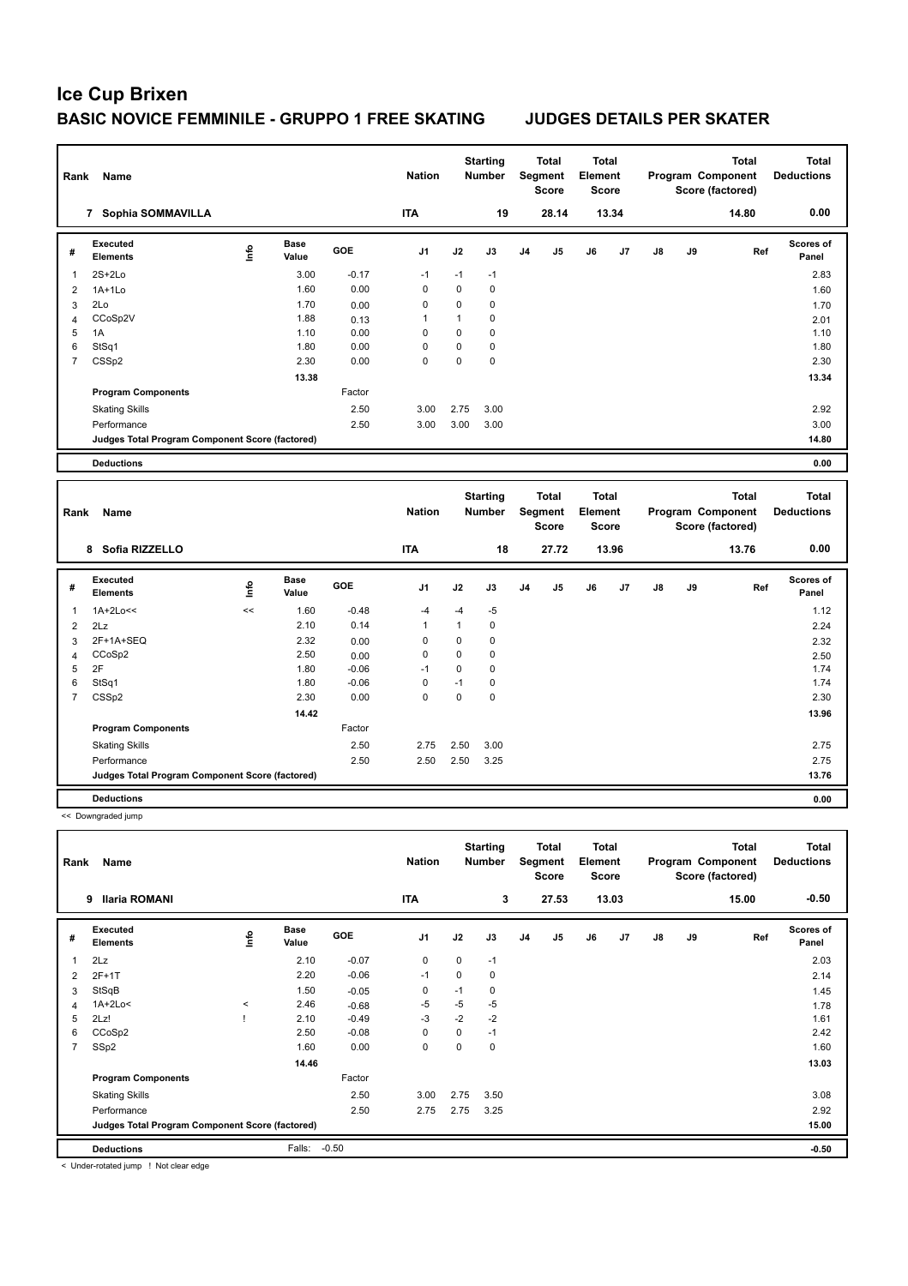| Rank                    | Name                                            |             |                      |         | <b>Nation</b> |              | <b>Starting</b><br>Number        |                | <b>Total</b><br>Segment<br>Score | <b>Total</b><br>Element<br><b>Score</b> |       |    |    | <b>Total</b><br>Program Component<br>Score (factored) | <b>Total</b><br><b>Deductions</b> |
|-------------------------|-------------------------------------------------|-------------|----------------------|---------|---------------|--------------|----------------------------------|----------------|----------------------------------|-----------------------------------------|-------|----|----|-------------------------------------------------------|-----------------------------------|
|                         | 7 Sophia SOMMAVILLA                             |             |                      |         | <b>ITA</b>    |              | 19                               |                | 28.14                            |                                         | 13.34 |    |    | 14.80                                                 | 0.00                              |
| #                       | Executed<br><b>Elements</b>                     | Life        | <b>Base</b><br>Value | GOE     | J1            | J2           | J3                               | J <sub>4</sub> | J5                               | J6                                      | J7    | J8 | J9 | Ref                                                   | Scores of<br>Panel                |
| 1                       | $2S+2Lo$                                        |             | 3.00                 | $-0.17$ | $-1$          | $-1$         | $-1$                             |                |                                  |                                         |       |    |    |                                                       | 2.83                              |
| 2                       | $1A+1Lo$                                        |             | 1.60                 | 0.00    | 0             | $\mathsf 0$  | 0                                |                |                                  |                                         |       |    |    |                                                       | 1.60                              |
| 3                       | 2Lo                                             |             | 1.70                 | 0.00    | 0             | 0            | 0                                |                |                                  |                                         |       |    |    |                                                       | 1.70                              |
| 4                       | CCoSp2V                                         |             | 1.88                 | 0.13    | 1             | $\mathbf{1}$ | 0                                |                |                                  |                                         |       |    |    |                                                       | 2.01                              |
| 5                       | 1A                                              |             | 1.10                 | 0.00    | $\mathbf 0$   | 0            | $\mathbf 0$                      |                |                                  |                                         |       |    |    |                                                       | 1.10                              |
| 6                       | StSq1                                           |             | 1.80                 | 0.00    | 0             | 0            | $\mathbf 0$                      |                |                                  |                                         |       |    |    |                                                       | 1.80                              |
| $\overline{7}$          | CSSp2                                           |             | 2.30                 | 0.00    | 0             | $\mathsf 0$  | $\mathbf 0$                      |                |                                  |                                         |       |    |    |                                                       | 2.30                              |
|                         |                                                 |             | 13.38                |         |               |              |                                  |                |                                  |                                         |       |    |    |                                                       | 13.34                             |
|                         | <b>Program Components</b>                       |             |                      | Factor  |               |              |                                  |                |                                  |                                         |       |    |    |                                                       |                                   |
|                         | <b>Skating Skills</b>                           |             |                      | 2.50    | 3.00          | 2.75         | 3.00                             |                |                                  |                                         |       |    |    |                                                       | 2.92                              |
|                         | Performance                                     |             |                      | 2.50    | 3.00          | 3.00         | 3.00                             |                |                                  |                                         |       |    |    |                                                       | 3.00                              |
|                         | Judges Total Program Component Score (factored) |             |                      |         |               |              |                                  |                |                                  |                                         |       |    |    |                                                       | 14.80                             |
|                         | <b>Deductions</b>                               |             |                      |         |               |              |                                  |                |                                  |                                         |       |    |    |                                                       | 0.00                              |
|                         |                                                 |             |                      |         |               |              |                                  |                |                                  |                                         |       |    |    |                                                       |                                   |
| Rank                    | Name                                            |             |                      |         | <b>Nation</b> |              | <b>Starting</b><br><b>Number</b> |                | Total<br>Segment<br><b>Score</b> | <b>Total</b><br>Element<br><b>Score</b> |       |    |    | <b>Total</b><br>Program Component<br>Score (factored) | <b>Total</b><br><b>Deductions</b> |
|                         | 8 Sofia RIZZELLO                                |             |                      |         | <b>ITA</b>    |              | 18                               |                | 27.72                            |                                         | 13.96 |    |    | 13.76                                                 | 0.00                              |
| #                       | Executed<br><b>Elements</b>                     | <u>Info</u> | <b>Base</b><br>Value | GOE     | J1            | J2           | J3                               | J4             | J5                               | J6                                      | J7    | J8 | J9 | Ref                                                   | Scores of<br>Panel                |
| 1                       | 1A+2Lo<<                                        | <<          | 1.60                 | $-0.48$ | $-4$          | $-4$         | $-5$                             |                |                                  |                                         |       |    |    |                                                       | 1.12                              |
| $\overline{\mathbf{c}}$ |                                                 |             |                      |         |               |              |                                  |                |                                  |                                         |       |    |    |                                                       |                                   |
|                         | 2Lz                                             |             | 2.10                 | 0.14    | 1             | 1            | 0                                |                |                                  |                                         |       |    |    |                                                       | 2.24                              |
| 3                       | 2F+1A+SEQ                                       |             | 2.32                 | 0.00    | 0             | 0            | 0                                |                |                                  |                                         |       |    |    |                                                       | 2.32                              |
| $\overline{4}$          | CCoSp2                                          |             | 2.50                 | 0.00    | 0             | 0            | 0                                |                |                                  |                                         |       |    |    |                                                       | 2.50                              |
| 5                       | 2F                                              |             | 1.80                 | $-0.06$ | $-1$          | 0            | 0                                |                |                                  |                                         |       |    |    |                                                       | 1.74                              |
| 6                       | StSq1                                           |             | 1.80                 | $-0.06$ | 0             | $-1$         | 0                                |                |                                  |                                         |       |    |    |                                                       | 1.74                              |
| $\overline{7}$          | CSSp2                                           |             | 2.30                 | 0.00    | 0             | $\mathbf 0$  | $\mathbf 0$                      |                |                                  |                                         |       |    |    |                                                       | 2.30                              |
|                         |                                                 |             | 14.42                |         |               |              |                                  |                |                                  |                                         |       |    |    |                                                       | 13.96                             |
|                         | <b>Program Components</b>                       |             |                      | Factor  |               |              |                                  |                |                                  |                                         |       |    |    |                                                       |                                   |
|                         | <b>Skating Skills</b>                           |             |                      | 2.50    | 2.75          | 2.50         | 3.00                             |                |                                  |                                         |       |    |    |                                                       | 2.75                              |
|                         | Performance                                     |             |                      | 2.50    | 2.50          | 2.50         | 3.25                             |                |                                  |                                         |       |    |    |                                                       | 2.75                              |
|                         | Judges Total Program Component Score (factored) |             |                      |         |               |              |                                  |                |                                  |                                         |       |    |    |                                                       | 13.76                             |
|                         | <b>Deductions</b>                               |             |                      |         |               |              |                                  |                |                                  |                                         |       |    |    |                                                       | 0.00                              |
|                         | << Downgraded jump                              |             |                      |         |               |              |                                  |                |                                  |                                         |       |    |    |                                                       |                                   |
| Rank                    | Name                                            |             |                      |         | <b>Nation</b> |              | <b>Starting</b><br><b>Number</b> |                | <b>Total</b><br>Segment<br>Score | Total<br>Element<br>Score               |       |    |    | <b>Total</b><br>Program Component<br>Score (factored) | <b>Total</b><br><b>Deductions</b> |
|                         | 9 Ilaria ROMANI                                 |             |                      |         | <b>ITA</b>    |              | 3                                |                | 27.53                            |                                         | 13.03 |    |    | 15.00                                                 | $-0.50$                           |
| #                       | Executed<br><b>Elements</b>                     | Info        | <b>Base</b><br>Value | GOE     | J1            | J2           | J3                               | J4             | J5                               | J6                                      | J7    | J8 | J9 | Ref                                                   | Scores of<br>Panel                |

| Rank           | Name                                            |         |                      |            | <b>Nation</b>  |          | <b>Starting</b><br><b>Number</b> |                | <b>Total</b><br>Segment<br><b>Score</b> | <b>Total</b><br>Element<br><b>Score</b> |       |               |    | <b>Total</b><br>Program Component<br>Score (factored) | <b>Total</b><br><b>Deductions</b> |
|----------------|-------------------------------------------------|---------|----------------------|------------|----------------|----------|----------------------------------|----------------|-----------------------------------------|-----------------------------------------|-------|---------------|----|-------------------------------------------------------|-----------------------------------|
|                | <b>Ilaria ROMANI</b><br>9                       |         |                      |            | <b>ITA</b>     |          | 3                                |                | 27.53                                   |                                         | 13.03 |               |    | 15.00                                                 | $-0.50$                           |
| #              | Executed<br><b>Elements</b>                     | ۴ů      | <b>Base</b><br>Value | <b>GOE</b> | J <sub>1</sub> | J2       | J3                               | J <sub>4</sub> | J <sub>5</sub>                          | J6                                      | J7    | $\mathsf{J}8$ | J9 | Ref                                                   | Scores of<br>Panel                |
| 1              | 2Lz                                             |         | 2.10                 | $-0.07$    | 0              | 0        | $-1$                             |                |                                         |                                         |       |               |    |                                                       | 2.03                              |
| 2              | $2F+1T$                                         |         | 2.20                 | $-0.06$    | $-1$           | 0        | 0                                |                |                                         |                                         |       |               |    |                                                       | 2.14                              |
| 3              | StSqB                                           |         | 1.50                 | $-0.05$    | 0              | $-1$     | 0                                |                |                                         |                                         |       |               |    |                                                       | 1.45                              |
| 4              | $1A+2Lo<$                                       | $\,<\,$ | 2.46                 | $-0.68$    | $-5$           | $-5$     | -5                               |                |                                         |                                         |       |               |    |                                                       | 1.78                              |
| 5              | 2Lz!                                            |         | 2.10                 | $-0.49$    | $-3$           | $-2$     | $-2$                             |                |                                         |                                         |       |               |    |                                                       | 1.61                              |
| 6              | CCoSp2                                          |         | 2.50                 | $-0.08$    | $\Omega$       | $\Omega$ | $-1$                             |                |                                         |                                         |       |               |    |                                                       | 2.42                              |
| $\overline{7}$ | SSp2                                            |         | 1.60                 | 0.00       | 0              | 0        | $\mathbf 0$                      |                |                                         |                                         |       |               |    |                                                       | 1.60                              |
|                |                                                 |         | 14.46                |            |                |          |                                  |                |                                         |                                         |       |               |    |                                                       | 13.03                             |
|                | <b>Program Components</b>                       |         |                      | Factor     |                |          |                                  |                |                                         |                                         |       |               |    |                                                       |                                   |
|                | <b>Skating Skills</b>                           |         |                      | 2.50       | 3.00           | 2.75     | 3.50                             |                |                                         |                                         |       |               |    |                                                       | 3.08                              |
|                | Performance                                     |         |                      | 2.50       | 2.75           | 2.75     | 3.25                             |                |                                         |                                         |       |               |    |                                                       | 2.92                              |
|                | Judges Total Program Component Score (factored) |         |                      |            |                |          |                                  |                |                                         |                                         |       |               |    |                                                       | 15.00                             |
|                | <b>Deductions</b>                               |         | Falls:               | $-0.50$    |                |          |                                  |                |                                         |                                         |       |               |    |                                                       | $-0.50$                           |
|                | .<br>.                                          |         |                      |            |                |          |                                  |                |                                         |                                         |       |               |    |                                                       |                                   |

< Under-rotated jump ! Not clear edge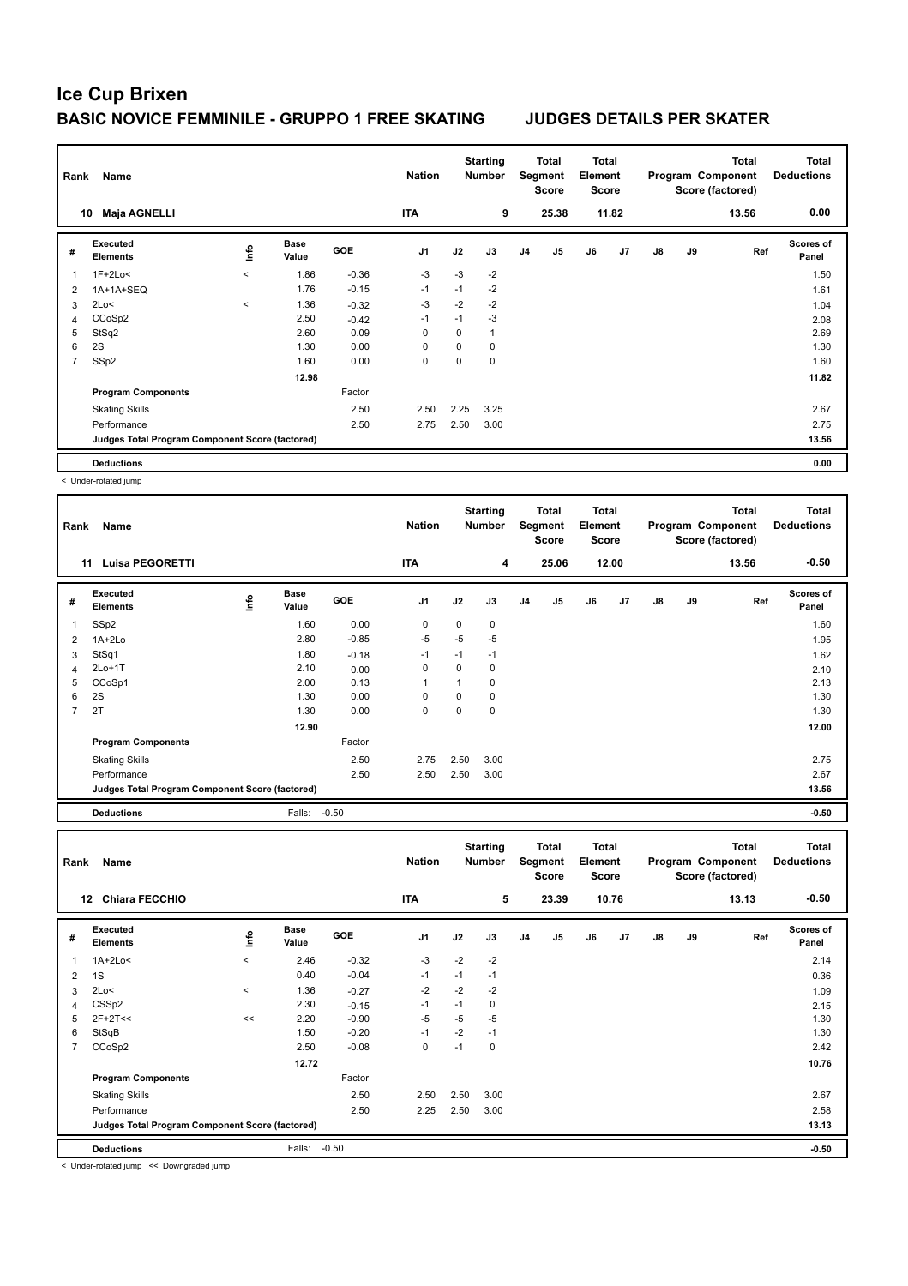| Rank           | Name                                            |         |                      |            | <b>Nation</b>  |      | <b>Starting</b><br><b>Number</b> |                | Total<br>Segment<br><b>Score</b> | Total<br>Element<br>Score |       |               |    | Total<br>Program Component<br>Score (factored) | <b>Total</b><br><b>Deductions</b> |
|----------------|-------------------------------------------------|---------|----------------------|------------|----------------|------|----------------------------------|----------------|----------------------------------|---------------------------|-------|---------------|----|------------------------------------------------|-----------------------------------|
| 10             | <b>Maja AGNELLI</b>                             |         |                      |            | <b>ITA</b>     |      | 9                                |                | 25.38                            |                           | 11.82 |               |    | 13.56                                          | 0.00                              |
| #              | Executed<br><b>Elements</b>                     | ١nfo    | <b>Base</b><br>Value | <b>GOE</b> | J <sub>1</sub> | J2   | J3                               | J <sub>4</sub> | J <sub>5</sub>                   | J6                        | J7    | $\mathsf{J}8$ | J9 | Ref                                            | <b>Scores of</b><br>Panel         |
| $\overline{1}$ | $1F+2Lo<$                                       | $\prec$ | 1.86                 | $-0.36$    | $-3$           | $-3$ | $-2$                             |                |                                  |                           |       |               |    |                                                | 1.50                              |
| 2              | 1A+1A+SEQ                                       |         | 1.76                 | $-0.15$    | $-1$           | $-1$ | $-2$                             |                |                                  |                           |       |               |    |                                                | 1.61                              |
| 3              | 2Lo<                                            | $\,<$   | 1.36                 | $-0.32$    | $-3$           | $-2$ | $-2$                             |                |                                  |                           |       |               |    |                                                | 1.04                              |
| 4              | CCoSp2                                          |         | 2.50                 | $-0.42$    | $-1$           | $-1$ | $-3$                             |                |                                  |                           |       |               |    |                                                | 2.08                              |
| 5              | StSq2                                           |         | 2.60                 | 0.09       | 0              | 0    | $\mathbf{1}$                     |                |                                  |                           |       |               |    |                                                | 2.69                              |
| 6              | 2S                                              |         | 1.30                 | 0.00       | 0              | 0    | 0                                |                |                                  |                           |       |               |    |                                                | 1.30                              |
| 7              | SSp2                                            |         | 1.60                 | 0.00       | 0              | 0    | $\mathbf 0$                      |                |                                  |                           |       |               |    |                                                | 1.60                              |
|                |                                                 |         | 12.98                |            |                |      |                                  |                |                                  |                           |       |               |    |                                                | 11.82                             |
|                | <b>Program Components</b>                       |         |                      | Factor     |                |      |                                  |                |                                  |                           |       |               |    |                                                |                                   |
|                | <b>Skating Skills</b>                           |         |                      | 2.50       | 2.50           | 2.25 | 3.25                             |                |                                  |                           |       |               |    |                                                | 2.67                              |
|                | Performance                                     |         |                      | 2.50       | 2.75           | 2.50 | 3.00                             |                |                                  |                           |       |               |    |                                                | 2.75                              |
|                | Judges Total Program Component Score (factored) |         |                      |            |                |      |                                  |                |                                  |                           |       |               |    |                                                | 13.56                             |
|                | <b>Deductions</b>                               |         |                      |            |                |      |                                  |                |                                  |                           |       |               |    |                                                | 0.00                              |

< Under-rotated jump

| Rank           | Name                                            |      |                      |            | <b>Nation</b>  |          | <b>Starting</b><br>Number |                | Total<br>Segment<br><b>Score</b> | Total<br>Element<br><b>Score</b> |       |               |    | <b>Total</b><br>Program Component<br>Score (factored) | <b>Total</b><br><b>Deductions</b> |
|----------------|-------------------------------------------------|------|----------------------|------------|----------------|----------|---------------------------|----------------|----------------------------------|----------------------------------|-------|---------------|----|-------------------------------------------------------|-----------------------------------|
|                | <b>Luisa PEGORETTI</b><br>11                    |      |                      |            | <b>ITA</b>     |          | 4                         |                | 25.06                            |                                  | 12.00 |               |    | 13.56                                                 | $-0.50$                           |
| #              | Executed<br><b>Elements</b>                     | ١nfo | <b>Base</b><br>Value | <b>GOE</b> | J <sub>1</sub> | J2       | J3                        | J <sub>4</sub> | J <sub>5</sub>                   | J6                               | J7    | $\mathsf{J}8$ | J9 | Ref                                                   | Scores of<br>Panel                |
| 1              | SSp2                                            |      | 1.60                 | 0.00       | 0              | 0        | 0                         |                |                                  |                                  |       |               |    |                                                       | 1.60                              |
| $\overline{2}$ | $1A+2Lo$                                        |      | 2.80                 | $-0.85$    | $-5$           | -5       | $-5$                      |                |                                  |                                  |       |               |    |                                                       | 1.95                              |
| 3              | StSq1                                           |      | 1.80                 | $-0.18$    | $-1$           | $-1$     | $-1$                      |                |                                  |                                  |       |               |    |                                                       | 1.62                              |
| 4              | $2Lo+1T$                                        |      | 2.10                 | 0.00       | 0              | 0        | 0                         |                |                                  |                                  |       |               |    |                                                       | 2.10                              |
| 5              | CCoSp1                                          |      | 2.00                 | 0.13       |                | 1        | 0                         |                |                                  |                                  |       |               |    |                                                       | 2.13                              |
| 6              | 2S                                              |      | 1.30                 | 0.00       | 0              | $\Omega$ | 0                         |                |                                  |                                  |       |               |    |                                                       | 1.30                              |
| $\overline{7}$ | 2T                                              |      | 1.30                 | 0.00       | $\mathbf 0$    | 0        | 0                         |                |                                  |                                  |       |               |    |                                                       | 1.30                              |
|                |                                                 |      | 12.90                |            |                |          |                           |                |                                  |                                  |       |               |    |                                                       | 12.00                             |
|                | <b>Program Components</b>                       |      |                      | Factor     |                |          |                           |                |                                  |                                  |       |               |    |                                                       |                                   |
|                | <b>Skating Skills</b>                           |      |                      | 2.50       | 2.75           | 2.50     | 3.00                      |                |                                  |                                  |       |               |    |                                                       | 2.75                              |
|                | Performance                                     |      |                      | 2.50       | 2.50           | 2.50     | 3.00                      |                |                                  |                                  |       |               |    |                                                       | 2.67                              |
|                | Judges Total Program Component Score (factored) |      |                      |            |                |          |                           |                |                                  |                                  |       |               |    |                                                       | 13.56                             |
|                | <b>Deductions</b>                               |      | Falls:               | $-0.50$    |                |          |                           |                |                                  |                                  |       |               |    |                                                       | $-0.50$                           |

| Rank           | <b>Name</b>                                     |             |                      |            | <b>Nation</b>  |      | <b>Starting</b><br><b>Number</b> |                | Total<br>Segment<br><b>Score</b> | <b>Total</b><br>Element<br><b>Score</b> |       |               |    | Total<br>Program Component<br>Score (factored) | <b>Total</b><br><b>Deductions</b> |
|----------------|-------------------------------------------------|-------------|----------------------|------------|----------------|------|----------------------------------|----------------|----------------------------------|-----------------------------------------|-------|---------------|----|------------------------------------------------|-----------------------------------|
|                | <b>Chiara FECCHIO</b><br>12                     |             |                      |            | <b>ITA</b>     |      | 5                                |                | 23.39                            |                                         | 10.76 |               |    | 13.13                                          | $-0.50$                           |
| #              | Executed<br><b>Elements</b>                     | <b>Info</b> | <b>Base</b><br>Value | <b>GOE</b> | J <sub>1</sub> | J2   | J3                               | J <sub>4</sub> | J5                               | J6                                      | J7    | $\mathsf{J}8$ | J9 | Ref                                            | Scores of<br>Panel                |
| 1              | $1A+2Lo<$                                       | $\prec$     | 2.46                 | $-0.32$    | $-3$           | $-2$ | $-2$                             |                |                                  |                                         |       |               |    |                                                | 2.14                              |
| $\overline{2}$ | 1S                                              |             | 0.40                 | $-0.04$    | $-1$           | $-1$ | $-1$                             |                |                                  |                                         |       |               |    |                                                | 0.36                              |
| 3              | 2Lo<                                            | $\,<\,$     | 1.36                 | $-0.27$    | $-2$           | $-2$ | $-2$                             |                |                                  |                                         |       |               |    |                                                | 1.09                              |
| 4              | CSSp2                                           |             | 2.30                 | $-0.15$    | $-1$           | $-1$ | 0                                |                |                                  |                                         |       |               |    |                                                | 2.15                              |
| 5              | $2F+2T<<$                                       | <<          | 2.20                 | $-0.90$    | $-5$           | $-5$ | $-5$                             |                |                                  |                                         |       |               |    |                                                | 1.30                              |
| 6              | StSqB                                           |             | 1.50                 | $-0.20$    | $-1$           | $-2$ | $-1$                             |                |                                  |                                         |       |               |    |                                                | 1.30                              |
| $\overline{7}$ | CCoSp2                                          |             | 2.50                 | $-0.08$    | 0              | $-1$ | 0                                |                |                                  |                                         |       |               |    |                                                | 2.42                              |
|                |                                                 |             | 12.72                |            |                |      |                                  |                |                                  |                                         |       |               |    |                                                | 10.76                             |
|                | <b>Program Components</b>                       |             |                      | Factor     |                |      |                                  |                |                                  |                                         |       |               |    |                                                |                                   |
|                | <b>Skating Skills</b>                           |             |                      | 2.50       | 2.50           | 2.50 | 3.00                             |                |                                  |                                         |       |               |    |                                                | 2.67                              |
|                | Performance                                     |             |                      | 2.50       | 2.25           | 2.50 | 3.00                             |                |                                  |                                         |       |               |    |                                                | 2.58                              |
|                | Judges Total Program Component Score (factored) |             |                      |            |                |      |                                  |                |                                  |                                         |       |               |    |                                                | 13.13                             |
|                | <b>Deductions</b>                               |             | Falls:               | $-0.50$    |                |      |                                  |                |                                  |                                         |       |               |    |                                                | $-0.50$                           |

< Under-rotated jump << Downgraded jump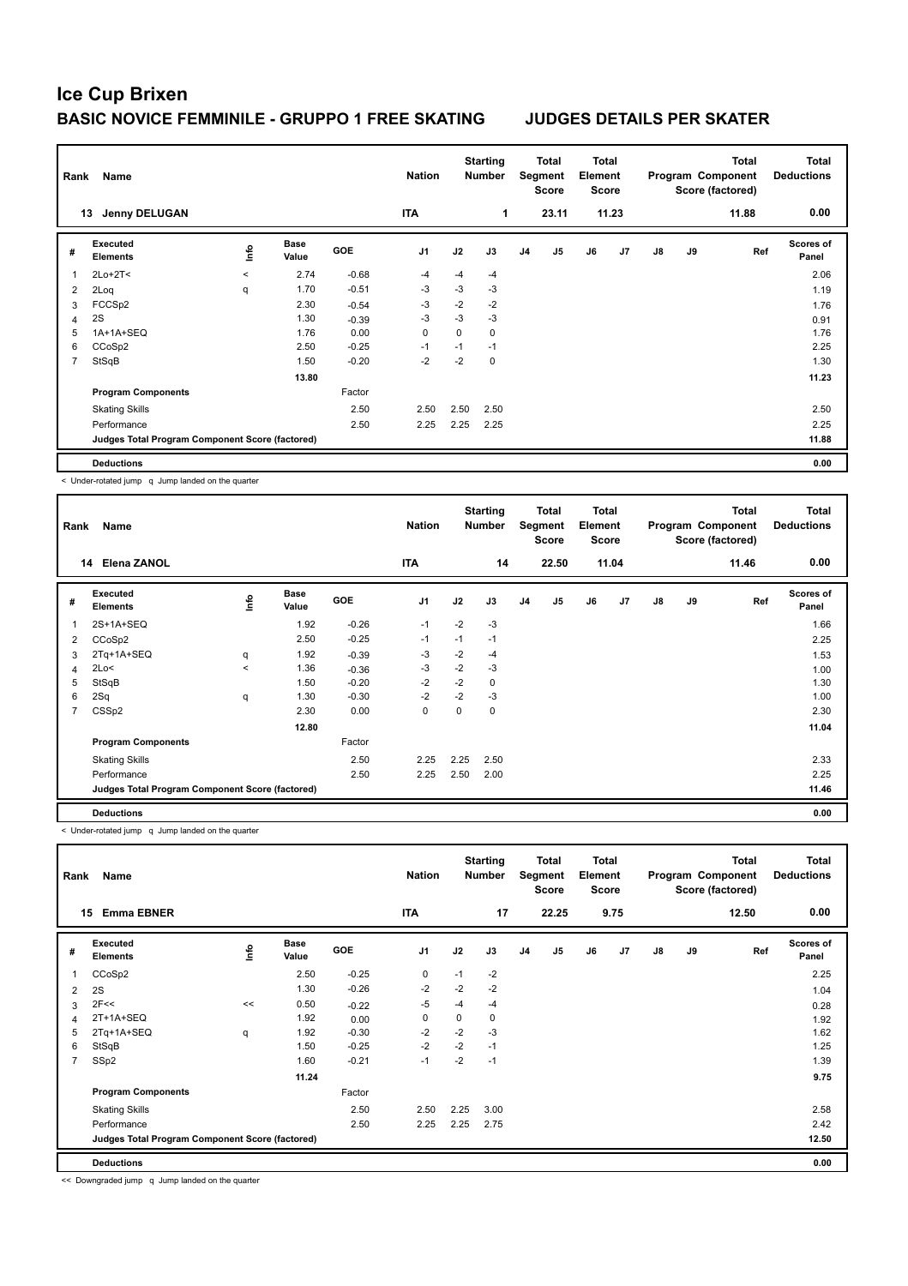| Rank           | Name                                            |         |                      |            | <b>Nation</b>  |      | <b>Starting</b><br><b>Number</b> |                | <b>Total</b><br>Segment<br><b>Score</b> | <b>Total</b><br>Element<br><b>Score</b> |       |               |    | <b>Total</b><br>Program Component<br>Score (factored) | <b>Total</b><br><b>Deductions</b> |
|----------------|-------------------------------------------------|---------|----------------------|------------|----------------|------|----------------------------------|----------------|-----------------------------------------|-----------------------------------------|-------|---------------|----|-------------------------------------------------------|-----------------------------------|
|                | <b>Jenny DELUGAN</b><br>13                      |         |                      |            | <b>ITA</b>     |      | 1                                |                | 23.11                                   |                                         | 11.23 |               |    | 11.88                                                 | 0.00                              |
| #              | Executed<br><b>Elements</b>                     | ١nf٥    | <b>Base</b><br>Value | <b>GOE</b> | J <sub>1</sub> | J2   | J3                               | J <sub>4</sub> | J <sub>5</sub>                          | J6                                      | J7    | $\mathsf{J}8$ | J9 | Ref                                                   | <b>Scores of</b><br>Panel         |
|                | $2Lo+2T<$                                       | $\prec$ | 2.74                 | $-0.68$    | $-4$           | $-4$ | $-4$                             |                |                                         |                                         |       |               |    |                                                       | 2.06                              |
| $\overline{2}$ | 2Loq                                            | q       | 1.70                 | $-0.51$    | -3             | $-3$ | $-3$                             |                |                                         |                                         |       |               |    |                                                       | 1.19                              |
| 3              | FCCSp2                                          |         | 2.30                 | $-0.54$    | $-3$           | $-2$ | $-2$                             |                |                                         |                                         |       |               |    |                                                       | 1.76                              |
| 4              | 2S                                              |         | 1.30                 | $-0.39$    | -3             | $-3$ | $-3$                             |                |                                         |                                         |       |               |    |                                                       | 0.91                              |
| 5              | 1A+1A+SEQ                                       |         | 1.76                 | 0.00       | 0              | 0    | 0                                |                |                                         |                                         |       |               |    |                                                       | 1.76                              |
| 6              | CCoSp2                                          |         | 2.50                 | $-0.25$    | $-1$           | $-1$ | $-1$                             |                |                                         |                                         |       |               |    |                                                       | 2.25                              |
| $\overline{7}$ | StSqB                                           |         | 1.50                 | $-0.20$    | $-2$           | $-2$ | 0                                |                |                                         |                                         |       |               |    |                                                       | 1.30                              |
|                |                                                 |         | 13.80                |            |                |      |                                  |                |                                         |                                         |       |               |    |                                                       | 11.23                             |
|                | <b>Program Components</b>                       |         |                      | Factor     |                |      |                                  |                |                                         |                                         |       |               |    |                                                       |                                   |
|                | <b>Skating Skills</b>                           |         |                      | 2.50       | 2.50           | 2.50 | 2.50                             |                |                                         |                                         |       |               |    |                                                       | 2.50                              |
|                | Performance                                     |         |                      | 2.50       | 2.25           | 2.25 | 2.25                             |                |                                         |                                         |       |               |    |                                                       | 2.25                              |
|                | Judges Total Program Component Score (factored) |         |                      |            |                |      |                                  |                |                                         |                                         |       |               |    |                                                       | 11.88                             |
|                | <b>Deductions</b>                               |         |                      |            |                |      |                                  |                |                                         |                                         |       |               |    |                                                       | 0.00                              |

< Under-rotated jump q Jump landed on the quarter

| Rank | Name                                            |         |                      |         | <b>Nation</b>  |      | <b>Starting</b><br><b>Number</b> |                | <b>Total</b><br>Segment<br><b>Score</b> | <b>Total</b><br>Element<br><b>Score</b> |       |    |    | <b>Total</b><br>Program Component<br>Score (factored) | <b>Total</b><br><b>Deductions</b> |
|------|-------------------------------------------------|---------|----------------------|---------|----------------|------|----------------------------------|----------------|-----------------------------------------|-----------------------------------------|-------|----|----|-------------------------------------------------------|-----------------------------------|
|      | <b>Elena ZANOL</b><br>14                        |         |                      |         | <b>ITA</b>     |      | 14                               |                | 22.50                                   |                                         | 11.04 |    |    | 11.46                                                 | 0.00                              |
| #    | <b>Executed</b><br><b>Elements</b>              | ١nfo    | <b>Base</b><br>Value | GOE     | J <sub>1</sub> | J2   | J3                               | J <sub>4</sub> | J <sub>5</sub>                          | J6                                      | J7    | J8 | J9 | Ref                                                   | <b>Scores of</b><br>Panel         |
| 1    | 2S+1A+SEQ                                       |         | 1.92                 | $-0.26$ | $-1$           | $-2$ | $-3$                             |                |                                         |                                         |       |    |    |                                                       | 1.66                              |
| 2    | CCoSp2                                          |         | 2.50                 | $-0.25$ | $-1$           | $-1$ | $-1$                             |                |                                         |                                         |       |    |    |                                                       | 2.25                              |
| 3    | 2Tq+1A+SEQ                                      | q       | 1.92                 | $-0.39$ | -3             | $-2$ | $-4$                             |                |                                         |                                         |       |    |    |                                                       | 1.53                              |
| 4    | 2Lo<                                            | $\prec$ | 1.36                 | $-0.36$ | $-3$           | $-2$ | $-3$                             |                |                                         |                                         |       |    |    |                                                       | 1.00                              |
| 5    | StSqB                                           |         | 1.50                 | $-0.20$ | $-2$           | $-2$ | 0                                |                |                                         |                                         |       |    |    |                                                       | 1.30                              |
| 6    | 2Sq                                             | q       | 1.30                 | $-0.30$ | $-2$           | $-2$ | $-3$                             |                |                                         |                                         |       |    |    |                                                       | 1.00                              |
| 7    | CSSp2                                           |         | 2.30                 | 0.00    | $\mathbf 0$    | 0    | 0                                |                |                                         |                                         |       |    |    |                                                       | 2.30                              |
|      |                                                 |         | 12.80                |         |                |      |                                  |                |                                         |                                         |       |    |    |                                                       | 11.04                             |
|      | <b>Program Components</b>                       |         |                      | Factor  |                |      |                                  |                |                                         |                                         |       |    |    |                                                       |                                   |
|      | <b>Skating Skills</b>                           |         |                      | 2.50    | 2.25           | 2.25 | 2.50                             |                |                                         |                                         |       |    |    |                                                       | 2.33                              |
|      | Performance                                     |         |                      | 2.50    | 2.25           | 2.50 | 2.00                             |                |                                         |                                         |       |    |    |                                                       | 2.25                              |
|      | Judges Total Program Component Score (factored) |         |                      |         |                |      |                                  |                |                                         |                                         |       |    |    |                                                       | 11.46                             |
|      | <b>Deductions</b>                               |         |                      |         |                |      |                                  |                |                                         |                                         |       |    |    |                                                       | 0.00                              |

< Under-rotated jump q Jump landed on the quarter

| <b>Name</b><br>Rank |                                                 |      |                      |         | <b>Nation</b>  |      | <b>Starting</b><br><b>Number</b> | Total<br>Segment<br><b>Score</b> |                | <b>Total</b><br>Element<br><b>Score</b> |      | <b>Total</b><br>Program Component<br>Score (factored) |    |       | Total<br><b>Deductions</b> |
|---------------------|-------------------------------------------------|------|----------------------|---------|----------------|------|----------------------------------|----------------------------------|----------------|-----------------------------------------|------|-------------------------------------------------------|----|-------|----------------------------|
| 15                  | <b>Emma EBNER</b>                               |      |                      |         | <b>ITA</b>     |      | 17                               |                                  | 22.25          |                                         | 9.75 |                                                       |    | 12.50 | 0.00                       |
| #                   | Executed<br><b>Elements</b>                     | ١nf٥ | <b>Base</b><br>Value | GOE     | J <sub>1</sub> | J2   | J3                               | J <sub>4</sub>                   | J <sub>5</sub> | J6                                      | J7   | $\mathsf{J}8$                                         | J9 | Ref   | <b>Scores of</b><br>Panel  |
| 1                   | CCoSp2                                          |      | 2.50                 | $-0.25$ | $\mathbf 0$    | $-1$ | $-2$                             |                                  |                |                                         |      |                                                       |    |       | 2.25                       |
| 2                   | 2S                                              |      | 1.30                 | $-0.26$ | $-2$           | $-2$ | $-2$                             |                                  |                |                                         |      |                                                       |    |       | 1.04                       |
| 3                   | 2F<<                                            | <<   | 0.50                 | $-0.22$ | $-5$           | $-4$ | $-4$                             |                                  |                |                                         |      |                                                       |    |       | 0.28                       |
| 4                   | 2T+1A+SEQ                                       |      | 1.92                 | 0.00    | 0              | 0    | 0                                |                                  |                |                                         |      |                                                       |    |       | 1.92                       |
| 5                   | 2Tq+1A+SEQ                                      | q    | 1.92                 | $-0.30$ | $-2$           | $-2$ | $-3$                             |                                  |                |                                         |      |                                                       |    |       | 1.62                       |
| 6                   | StSqB                                           |      | 1.50                 | $-0.25$ | $-2$           | $-2$ | $-1$                             |                                  |                |                                         |      |                                                       |    |       | 1.25                       |
| $\overline{7}$      | SSp2                                            |      | 1.60                 | $-0.21$ | $-1$           | $-2$ | $-1$                             |                                  |                |                                         |      |                                                       |    |       | 1.39                       |
|                     |                                                 |      | 11.24                |         |                |      |                                  |                                  |                |                                         |      |                                                       |    |       | 9.75                       |
|                     | <b>Program Components</b>                       |      |                      | Factor  |                |      |                                  |                                  |                |                                         |      |                                                       |    |       |                            |
|                     | <b>Skating Skills</b>                           |      |                      | 2.50    | 2.50           | 2.25 | 3.00                             |                                  |                |                                         |      |                                                       |    |       | 2.58                       |
|                     | Performance                                     |      |                      | 2.50    | 2.25           | 2.25 | 2.75                             |                                  |                |                                         |      |                                                       |    |       | 2.42                       |
|                     | Judges Total Program Component Score (factored) |      |                      |         |                |      |                                  |                                  |                |                                         |      |                                                       |    |       | 12.50                      |
|                     | <b>Deductions</b>                               |      |                      |         |                |      |                                  |                                  |                |                                         |      |                                                       |    |       | 0.00                       |

<< Downgraded jump q Jump landed on the quarter